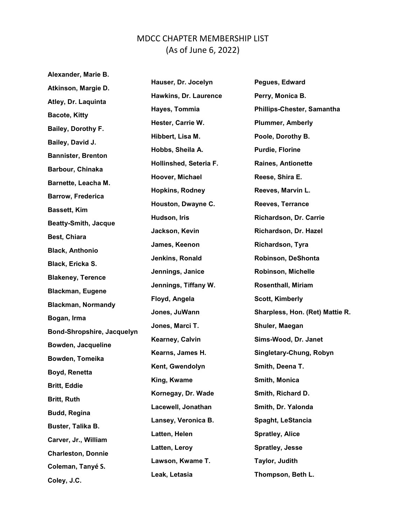## MDCC CHAPTER MEMBERSHIP LIST (As of June 6, 2022)

Alexander, Marie B. Atkinson, Margie D. Hauser, Dr. Jocelyn Pegues, Edward Atley, Dr. Laquinta Hawkins, Dr. Laurence Perry, Monica B. Bacote, Kitty Hayes, Tommia Phillips-Chester, Samantha Bailey, Dorothy F. Hester, Carrie W. Plummer, Amberly Bailey, David J. Hibbert, Lisa M. Poole, Dorothy B. Bannister, Brenton Hobbs, Sheila A. **Purdie**, Florine Barbour, Chinaka Hollinshed, Seteria F. Raines, Antionette Barnette, Leacha M. Hoover, Michael Reese, Shira E. Barrow, Frederica Hopkins, Rodney Reeves, Marvin L. Bassett, Kim Houston, Dwayne C. Reeves, Terrance Beatty-Smith, Jacque Hudson, Iris **Richardson, Dr. Carrie** Best, Chiara Jackson, Kevin **Richardson, Dr. Hazel** Black, Anthonio James, Keenon Richardson, Tyra Black, Ericka S. Jenkins, Ronald Robinson, DeShonta Blakeney, Terence Jennings, Janice **Robinson, Michelle** Blackman, Eugene Jennings, Tiffany W. Rosenthall, Miriam Blackman, Normandy Floyd, Angela Scott, Kimberly Bogan, Irma Jones, JuWann Sharpless, Hon. (Ret) Mattie R. Bond-Shropshire, Jacquelyn Jones, Marci T. Shuler, Maegan Bowden, Jacqueline Kearney, Calvin Sims-Wood, Dr. Janet Bowden, Tomeika Kearns, James H. Singletary-Chung, Robyn Boyd, Renetta Kent, Gwendolyn Smith, Deena T. Britt, Eddie King, Kwame Smith, Monica Britt, Ruth Kornegay, Dr. Wade Smith, Richard D. Budd, Regina Lacewell, Jonathan Smith, Dr. Yalonda Buster, Talika B. Lansey, Veronica B. Spaght, LeStancia Carver, Jr., William Latten, Helen Spratley, Alice Charleston, Donnie Latten, Leroy Spratley, Jesse Coleman, Tanyé S. Lawson, Kwame T. Taylor, Judith Coley, J.C. Leak, Letasia Thompson, Beth L.